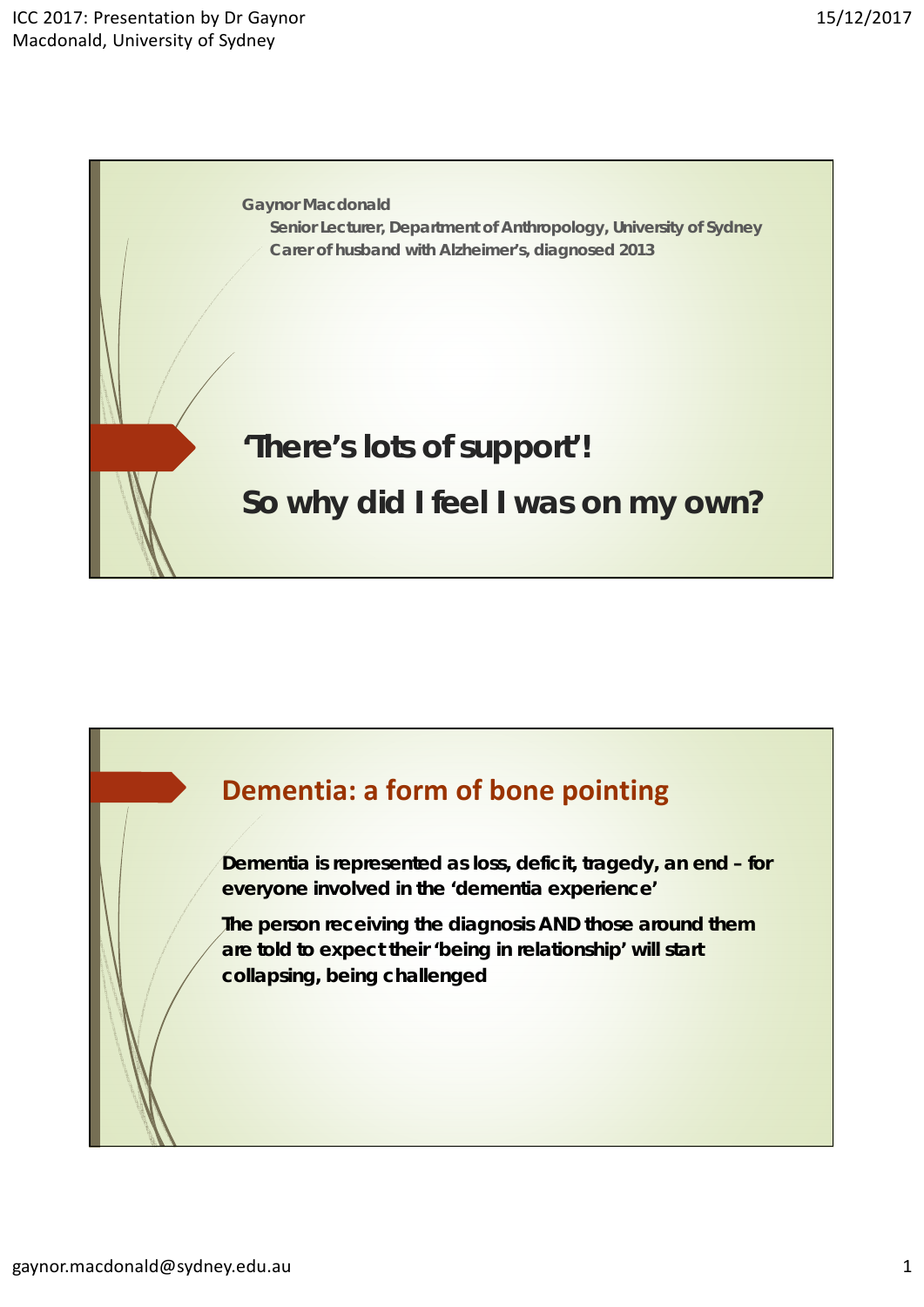

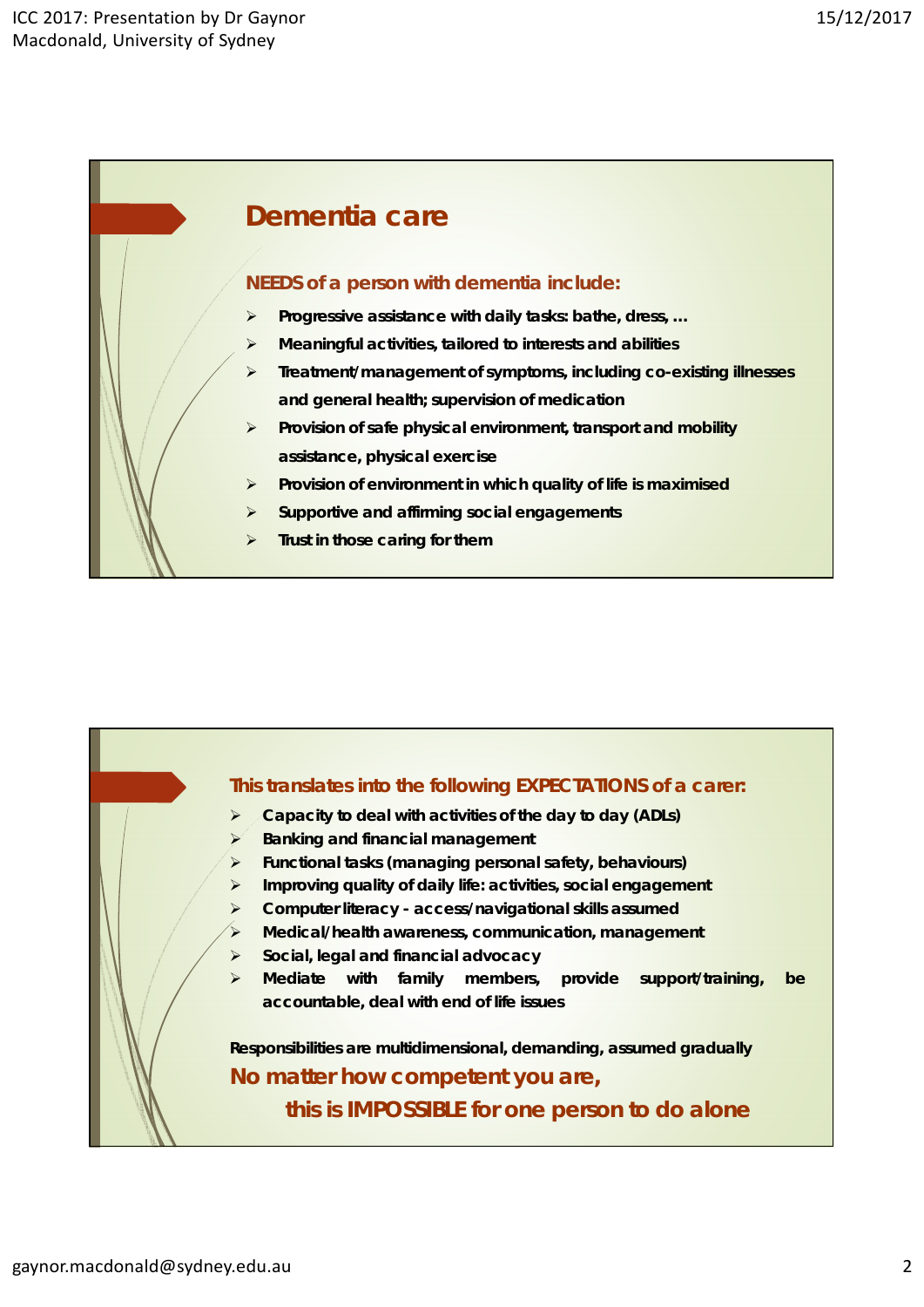

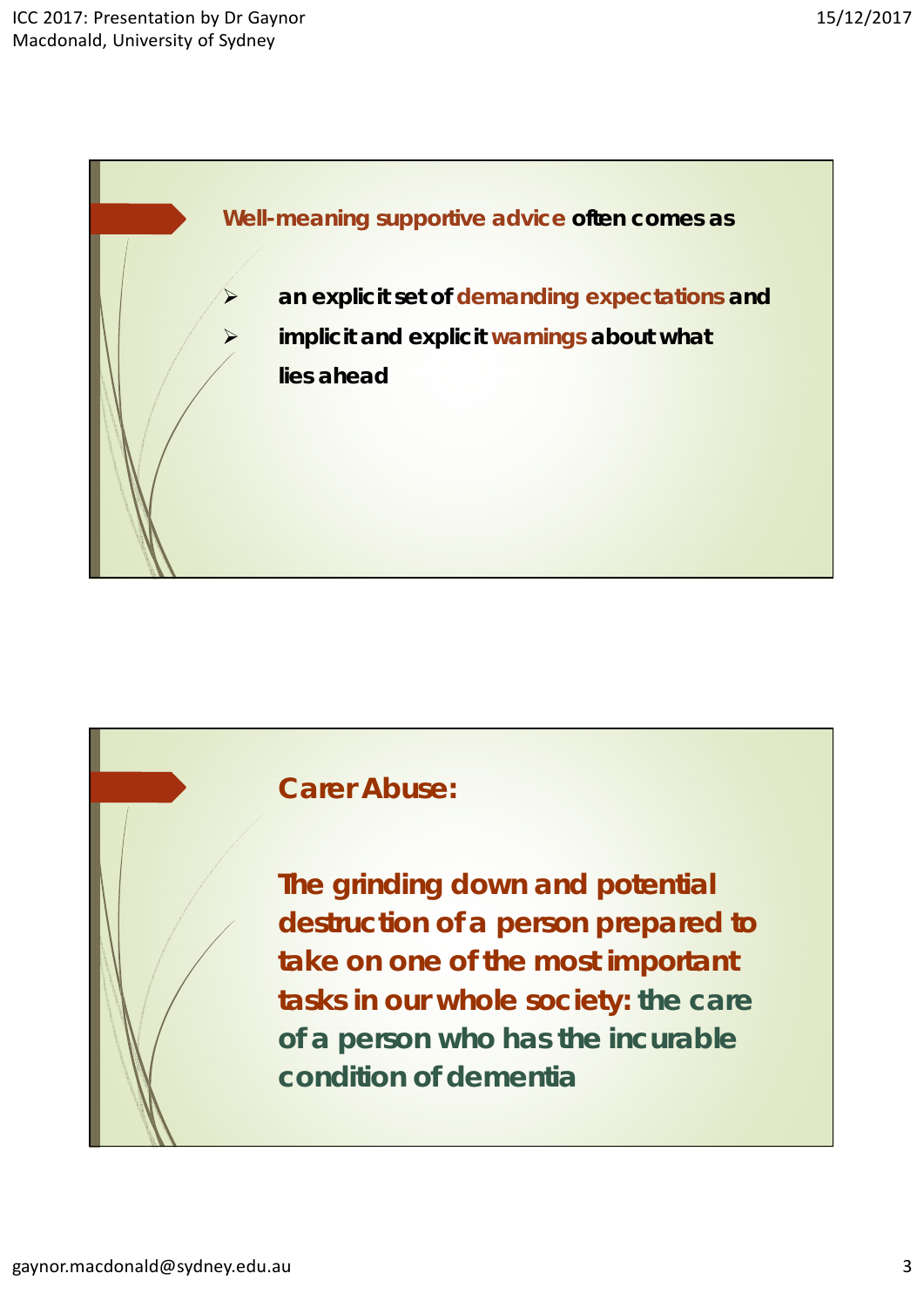



**The grinding down and potential destruction of a person prepared to take on one of the most important tasks in our whole society: the care of a person who has the incurable condition of dementia**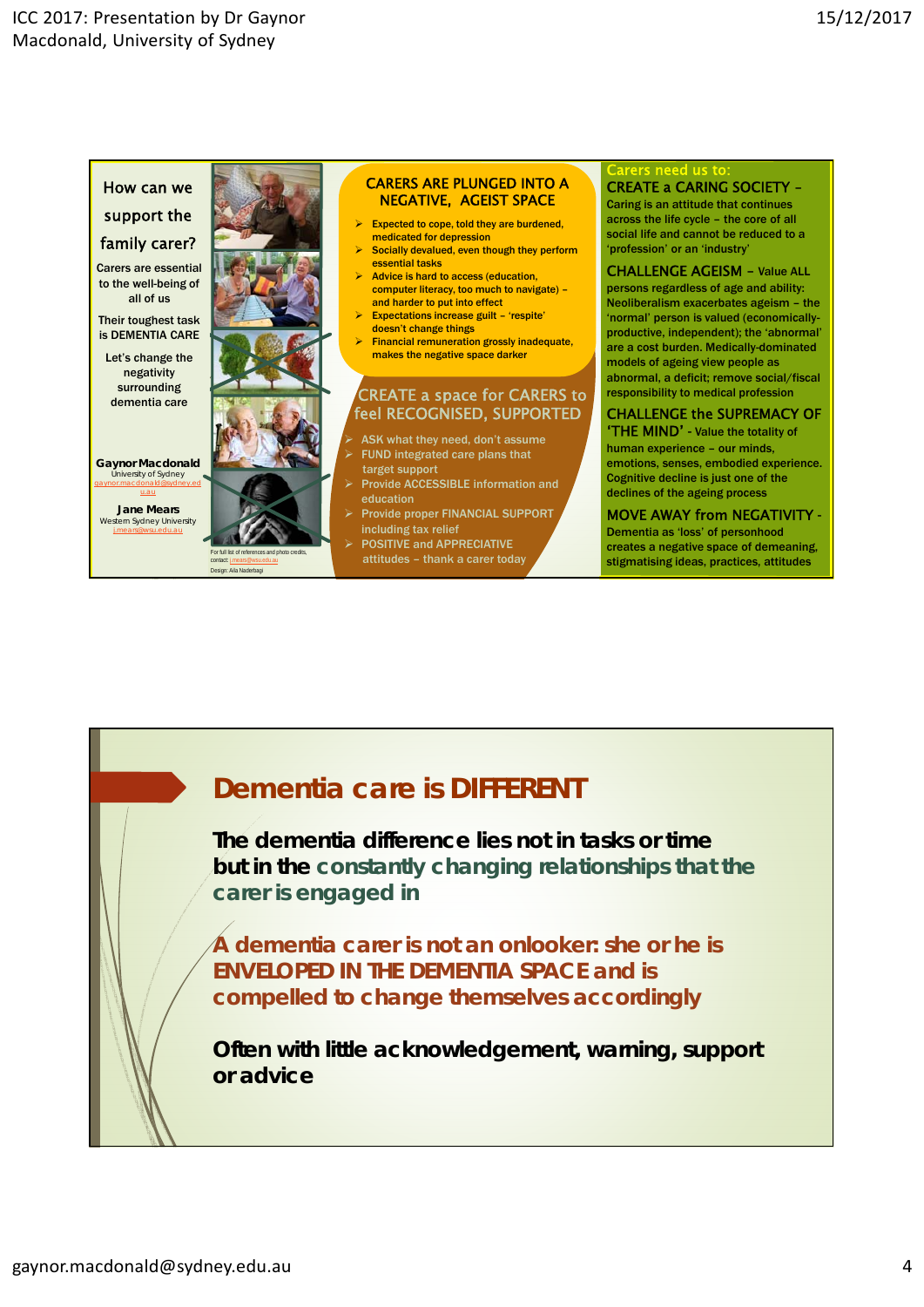

# **Dementia care** *is* **DIFFERENT**

**The dementia difference lies not in tasks or time but in the** *constantly changing relationships that the carer is engaged in*

**A dementia carer is not an onlooker: she or he is ENVELOPED IN THE DEMENTIA SPACE and is compelled to change themselves accordingly**

**Often with little acknowledgement, warning, support or advice**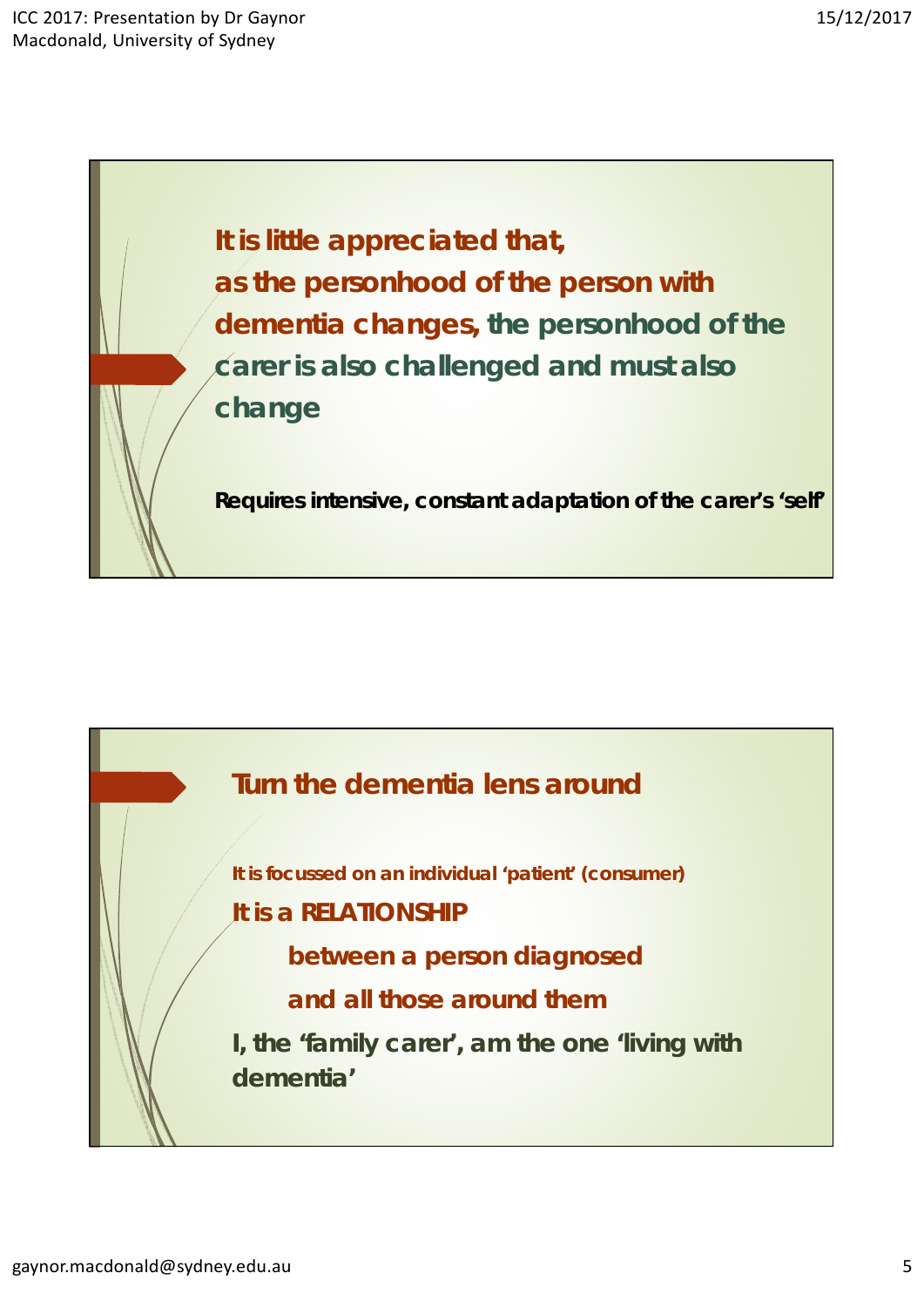**It is little appreciated that, as the personhood of the person with dementia changes,** *the personhood of the carer is also challenged and must also change*

**Requires intensive, constant adaptation of the carer's 'self'**



**It is focussed on an individual 'patient' (consumer)**

**It is a RELATIONSHIP**

**between a person diagnosed**

**and all those around them**

*I***, the 'family carer', am the one 'living with dementia'**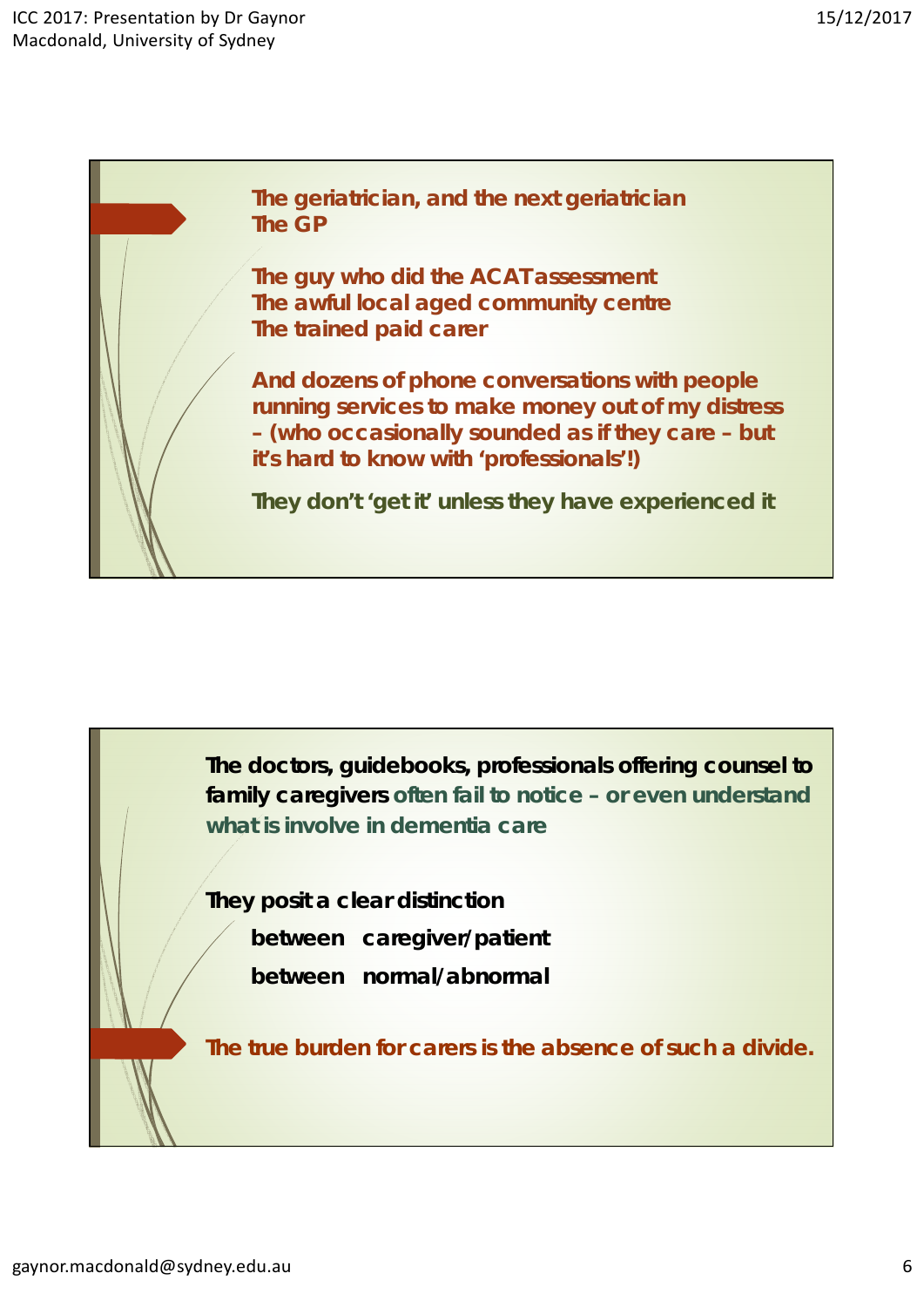**The geriatrician, and the next geriatrician The GP**

**The guy who did the ACAT assessment The awful local aged community centre The trained paid carer** 

**And dozens of phone conversations with people running services to make money out of my distress – (who occasionally sounded as if they care – but it's hard to know with 'professionals'!)** 

**They don't 'get it' unless they have experienced it** 

**The doctors, guidebooks, professionals offering counsel to family caregivers** *often fail to notice – or even understand what is involve in dementia care*

**They posit a clear distinction** 

- **between caregiver/patient**
- **between normal/abnormal**

**The true burden for carers is the** *absence* **of such a divide.**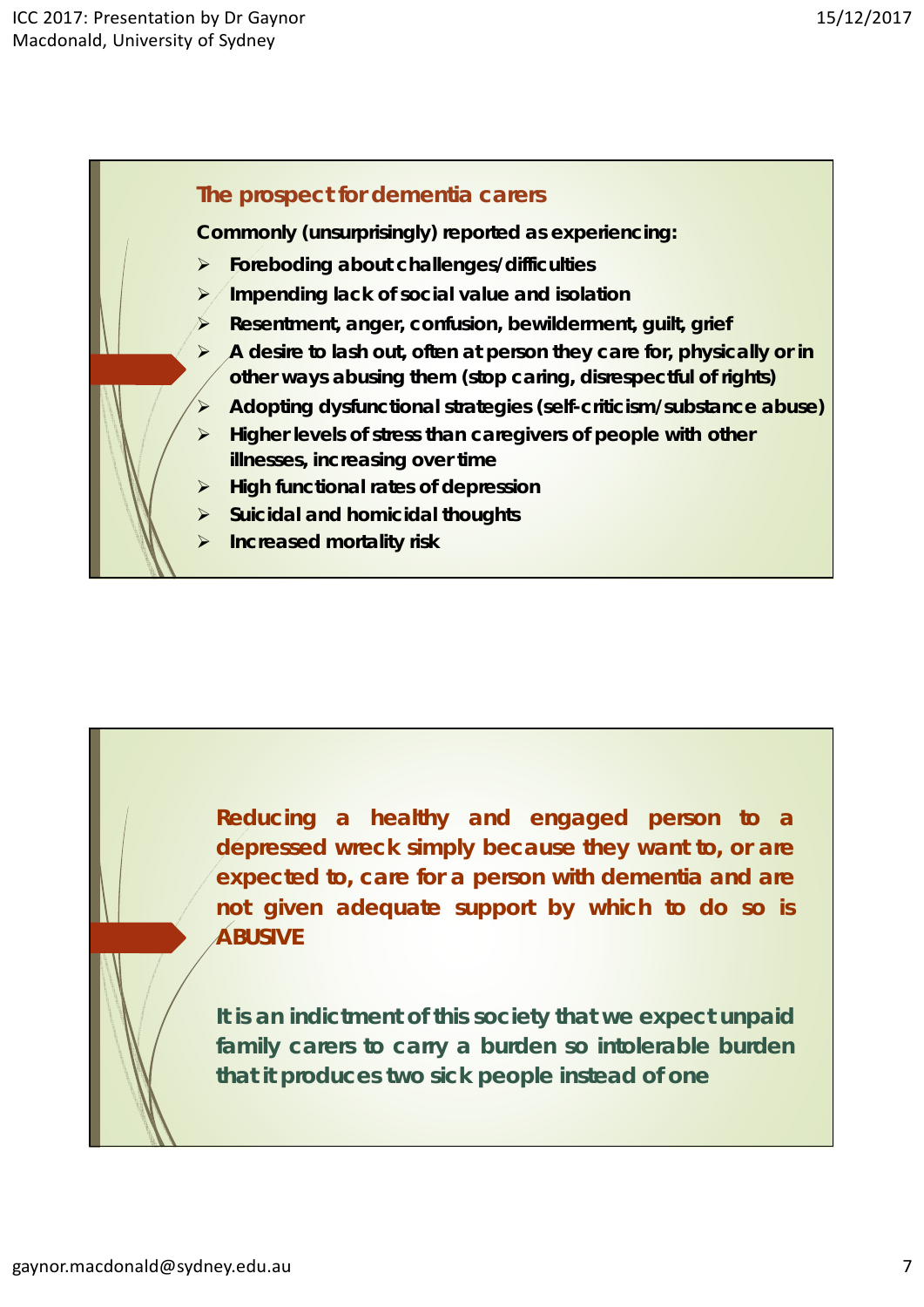# **The prospect for dementia carers**

**Commonly (unsurprisingly) reported as experiencing:**

- **Foreboding about challenges/difficulties**
- **Impending lack of social value and isolation**
- **Resentment, anger, confusion, bewilderment, guilt, grief**
- **A desire to lash out, often at person they care for, physically or in other ways abusing them (stop caring, disrespectful of rights)**
- **Adopting dysfunctional strategies (self-criticism/substance abuse)**
- **EX** Higher levels of stress than caregivers of people with other **illnesses, increasing over time**
- **High functional rates of depression**
- **Suicidal and homicidal thoughts**
- **Increased mortality risk**

**Reducing a healthy and engaged person to a depressed wreck simply because they want to, or are expected to, care for a person with dementia and are not given adequate support by which to do so is ABUSIVE**

**It is an indictment of this society that we expect unpaid family carers to carry a burden so intolerable burden that it produces two sick people instead of one**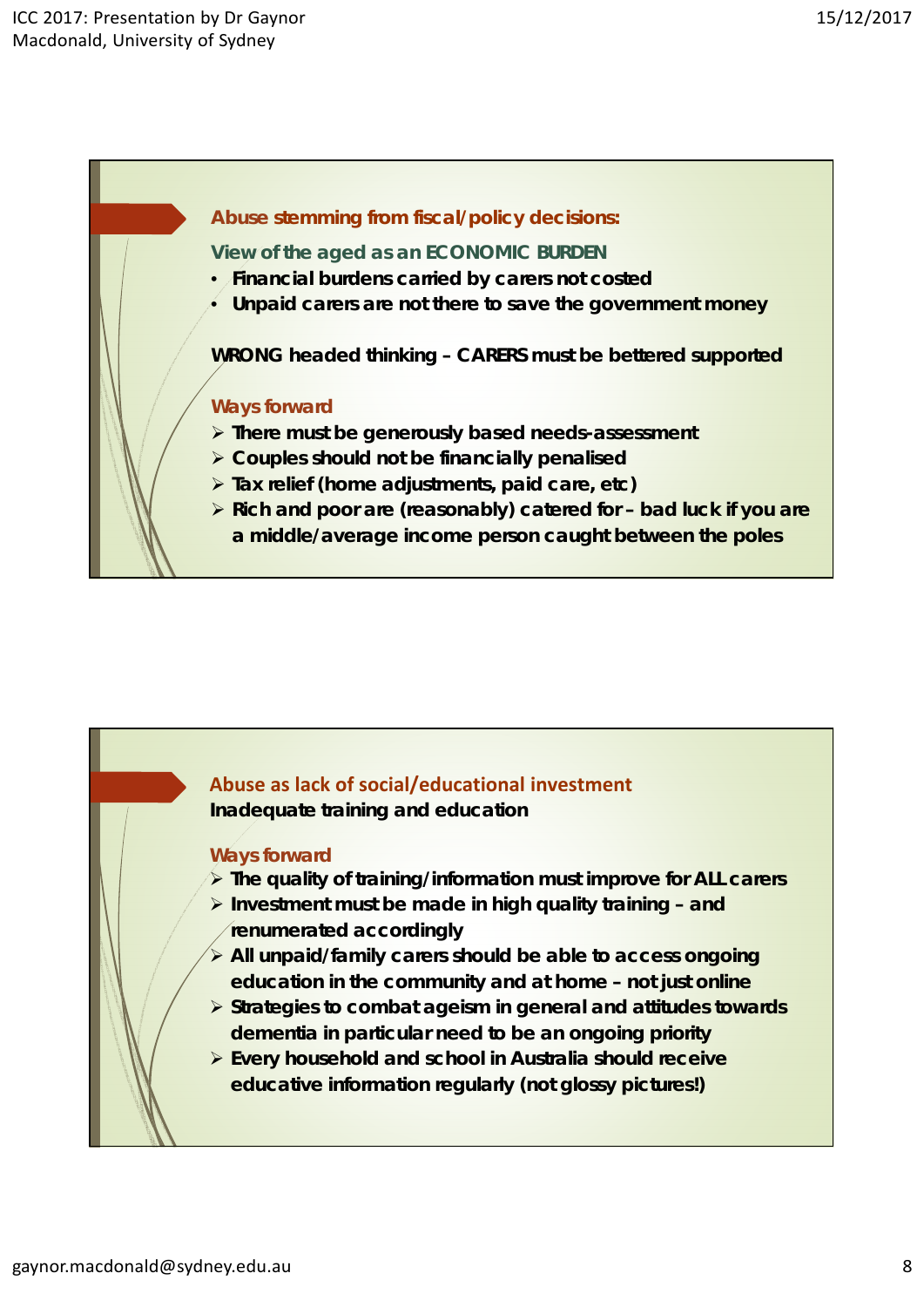#### **Abuse stemming from fiscal/policy decisions:**

**View of the aged as an ECONOMIC BURDEN**

- **Financial burdens carried by carers not costed**
- **Unpaid carers are not there to save the government money**

**WRONG headed thinking – CARERS must be bettered supported**

#### **Ways forward**

- **There must be generously based needs-assessment**
- **Couples should not be financially penalised**
- **Tax relief (home adjustments, paid care, etc)**
- **Rich and poor are (reasonably) catered for bad luck if you are a middle/average income person caught between the poles**



#### **Ways forward**

- **The quality of training/information must improve for ALL carers**
- **Investment must be made in high quality training and renumerated accordingly**
- **All unpaid/family carers should be able to access ongoing education in the community and at home – not just online**
- **Strategies to combat ageism in general and attitudes towards dementia in particular need to be an ongoing priority**
- **Every household and school in Australia should receive educative information regularly (not glossy pictures!)**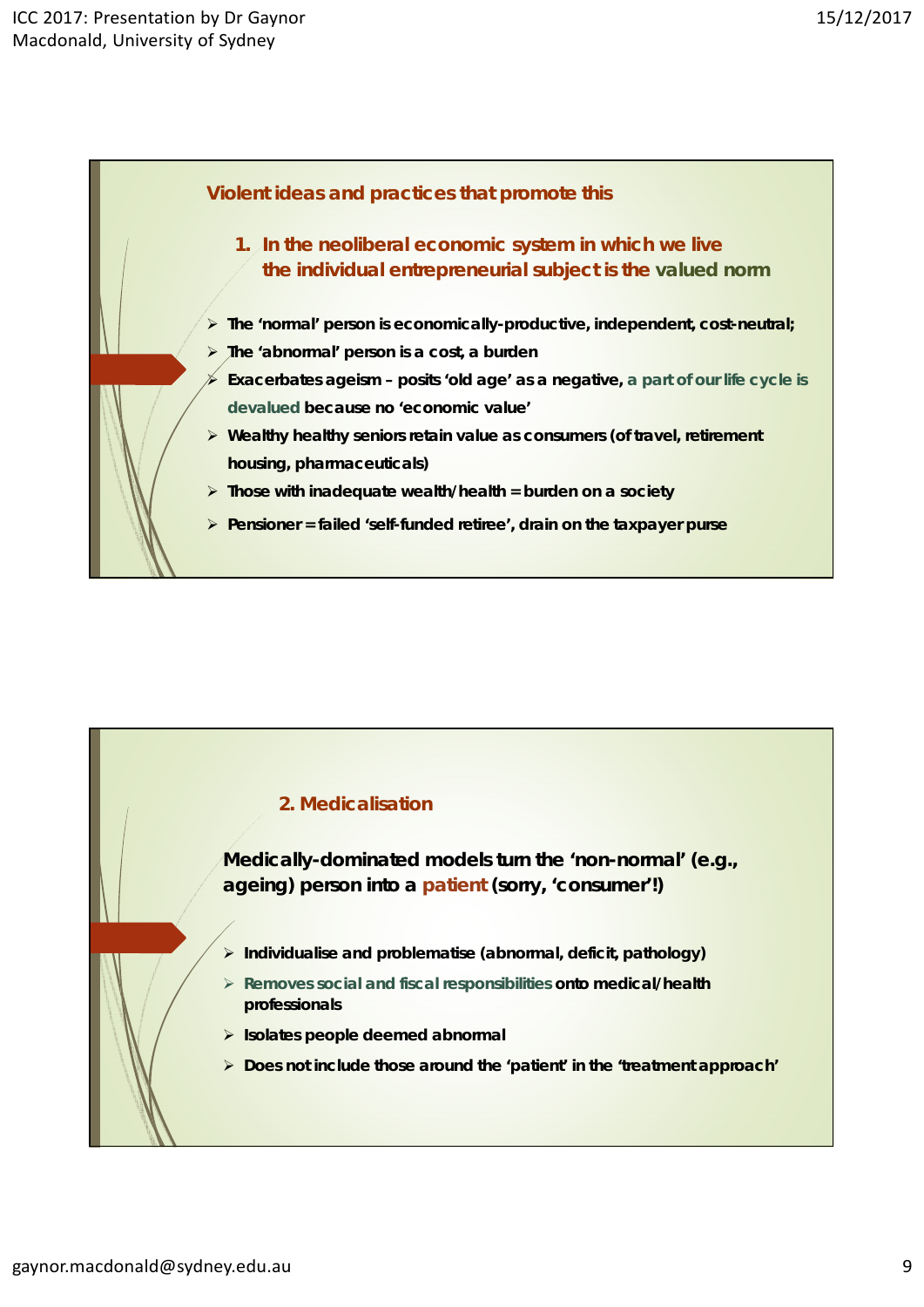

## **2. Medicalisation**

**Medically-dominated models turn the 'non-normal' (e.g., ageing) person into a patient (sorry, 'consumer'!)** 

- **Individualise and problematise (abnormal, deficit, pathology)**
- **Removes social and fiscal responsibilities onto medical/health professionals**
- **Isolates people deemed abnormal**
- **Does not include those around the 'patient' in the 'treatment approach'**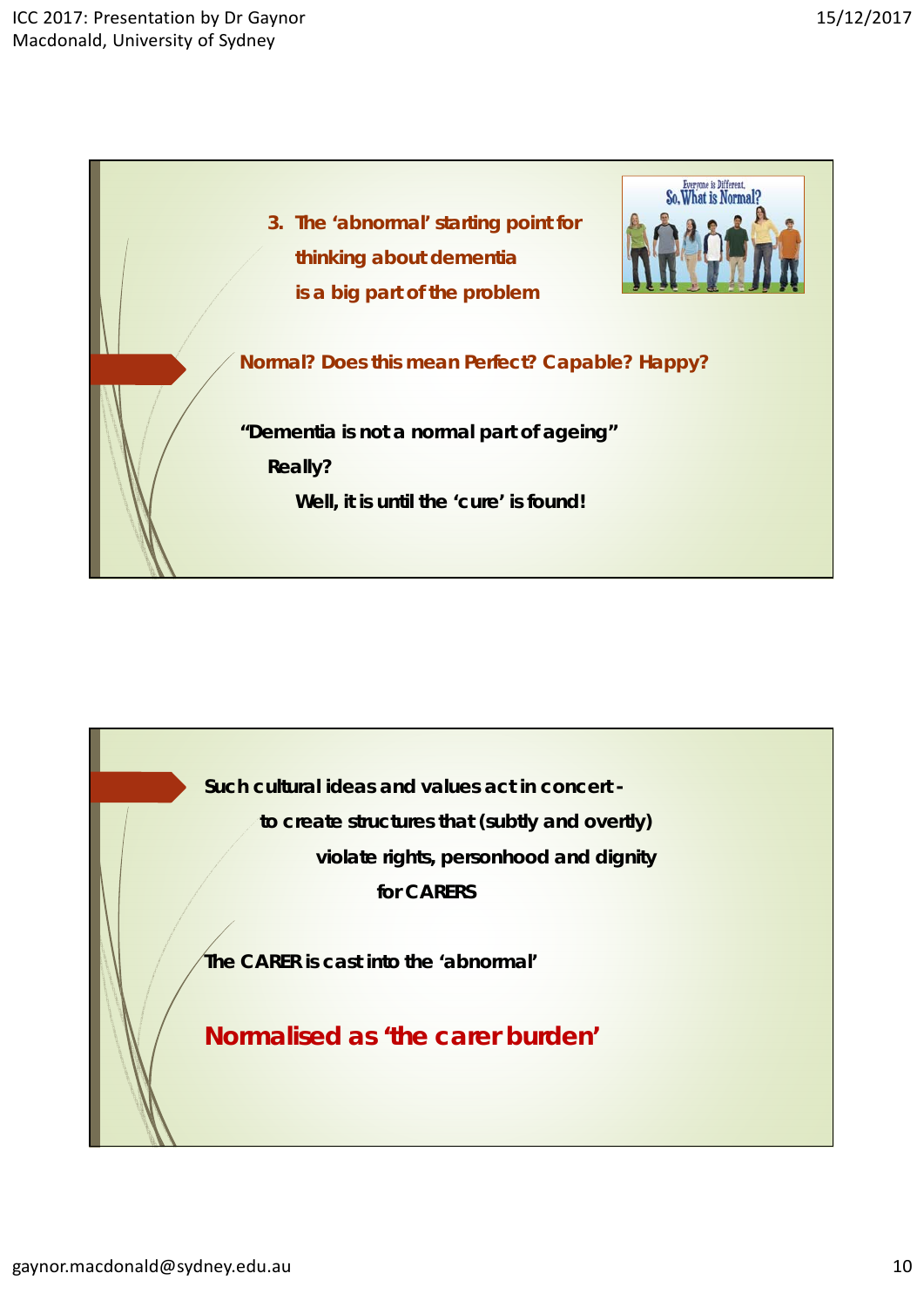

**Such cultural ideas and values act in concert to create structures that (subtly and overtly) violate rights, personhood and dignity for CARERS**

**The CARER is cast into the 'abnormal'**

**Normalised as 'the carer burden'**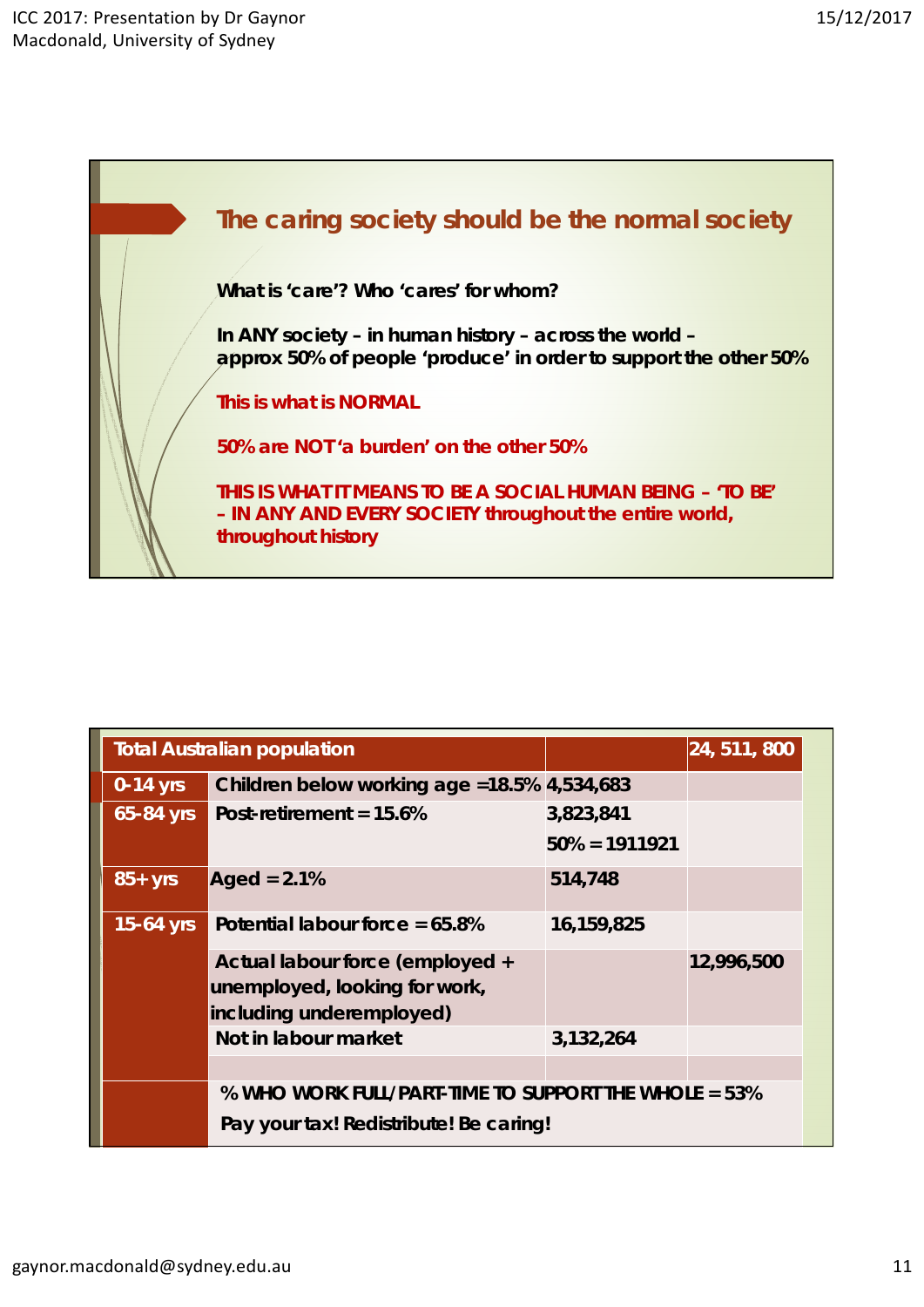

| <b>Total Australian population</b> |                                                                                                    |                               | 24, 511, 800 |
|------------------------------------|----------------------------------------------------------------------------------------------------|-------------------------------|--------------|
| $0-14$ yrs                         | Children below working age = 18.5% 4,534,683                                                       |                               |              |
| 65-84 yrs                          | Post-retirement = 15.6%                                                                            | 3,823,841<br>$50\% = 1911921$ |              |
| $85+yrs$                           | Aged = $2.1\%$                                                                                     | 514,748                       |              |
| $15-64$ yrs                        | Potential labour force = $65.8\%$                                                                  | 16,159,825                    |              |
|                                    | Actual labour force (employed +<br>unemployed, looking for work,<br>including underemployed)       |                               | 12,996,500   |
|                                    | Not in labour market                                                                               | 3,132,264                     |              |
|                                    | $%$ WHO WORK FULL/PART-TIME TO SUPPORT THE WHOLE $=$ 53%<br>Pay your tax! Redistribute! Be caring! |                               |              |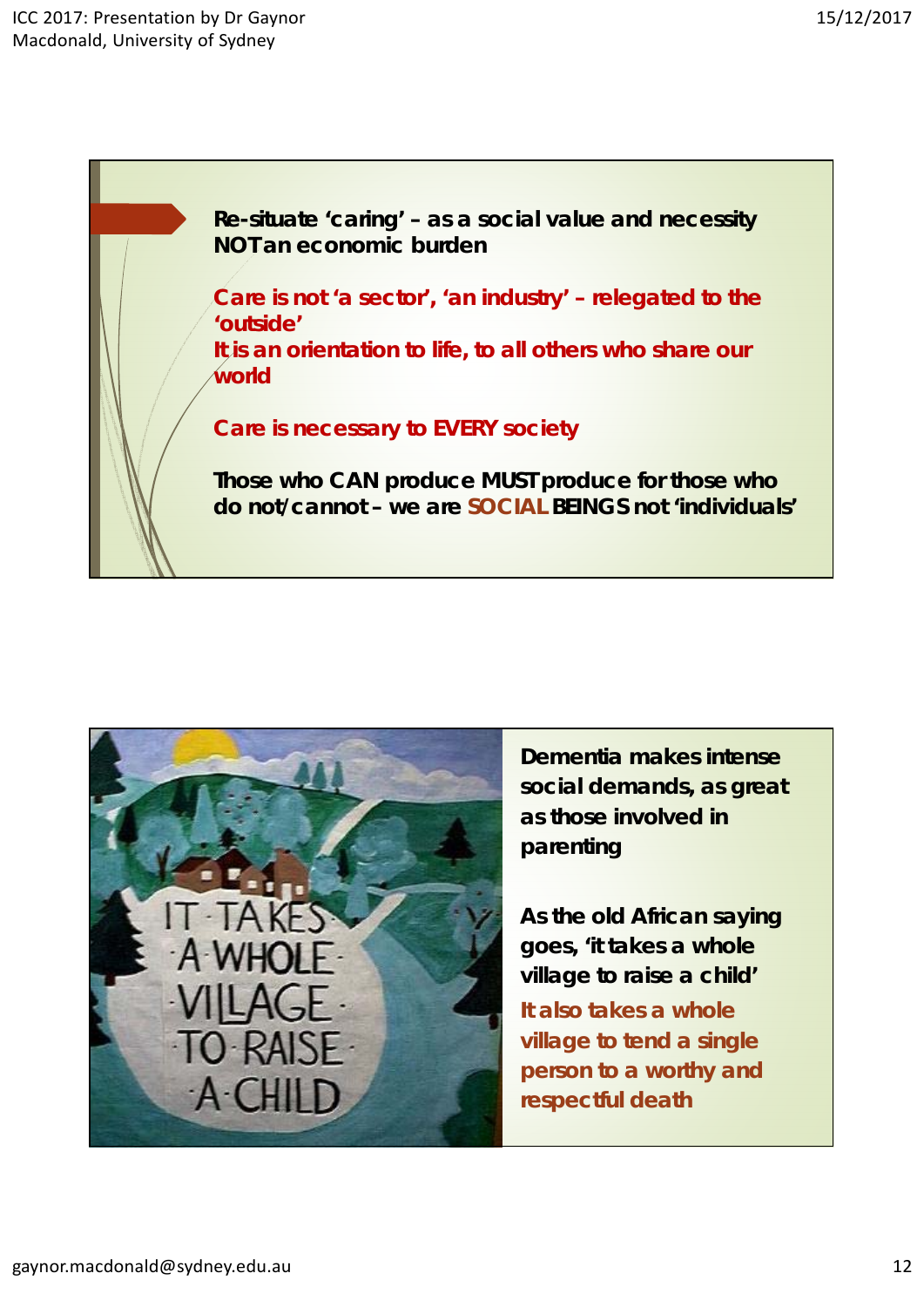**Re-situate 'caring' – as a social value and necessity NOT an economic burden**

**Care is not 'a sector', 'an industry' – relegated to the 'outside' It is an orientation to life, to all others who share our world**

**Care is necessary to EVERY society** 

**Those who CAN produce MUST produce for those who do not/cannot – we are SOCIAL BEINGS not 'individuals'**



**Dementia makes intense social demands, as great as those involved in parenting**

**As the old African saying goes, 'it takes a whole village to raise a child' It also takes a whole village to tend a single person to a worthy and respectful death**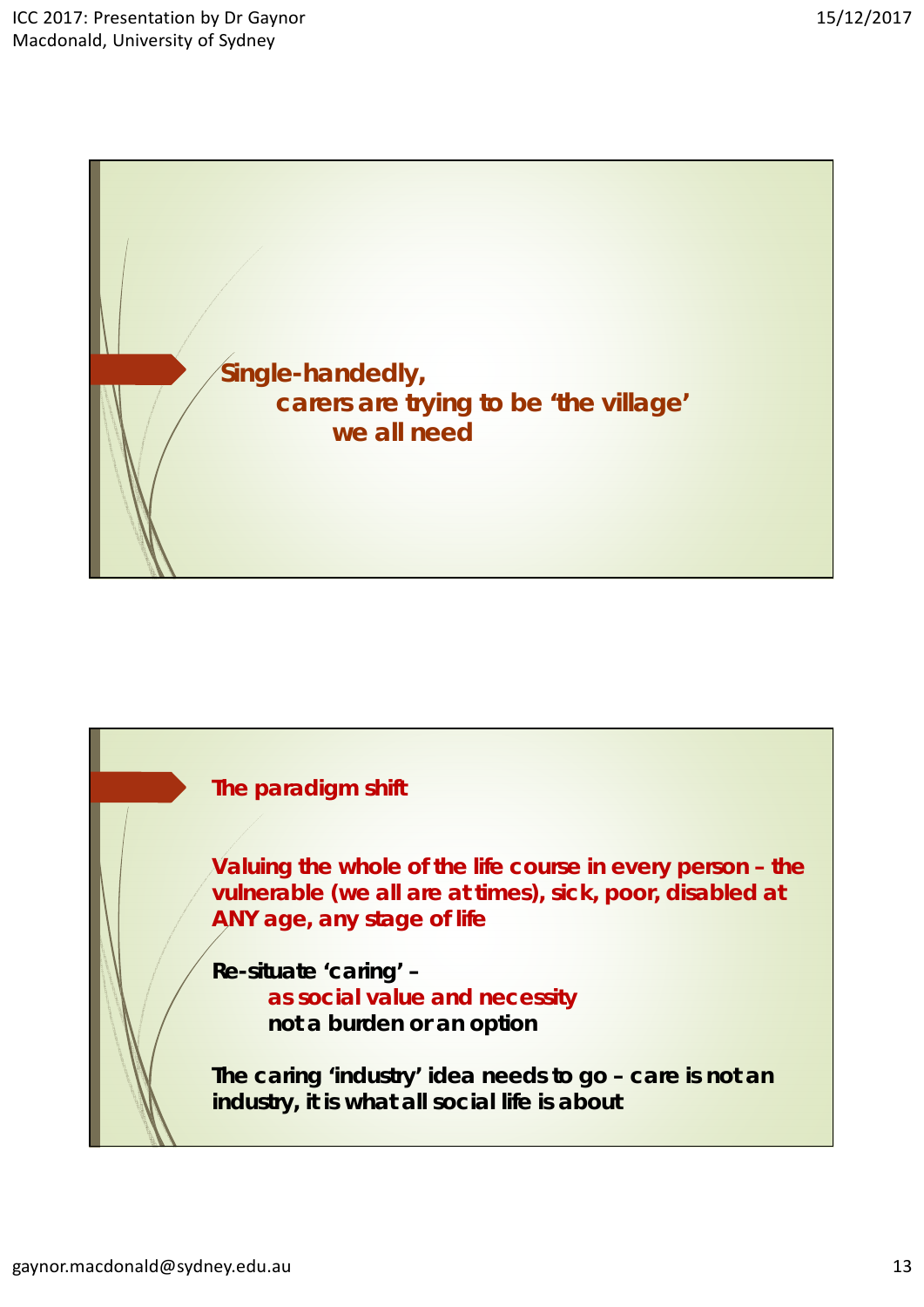